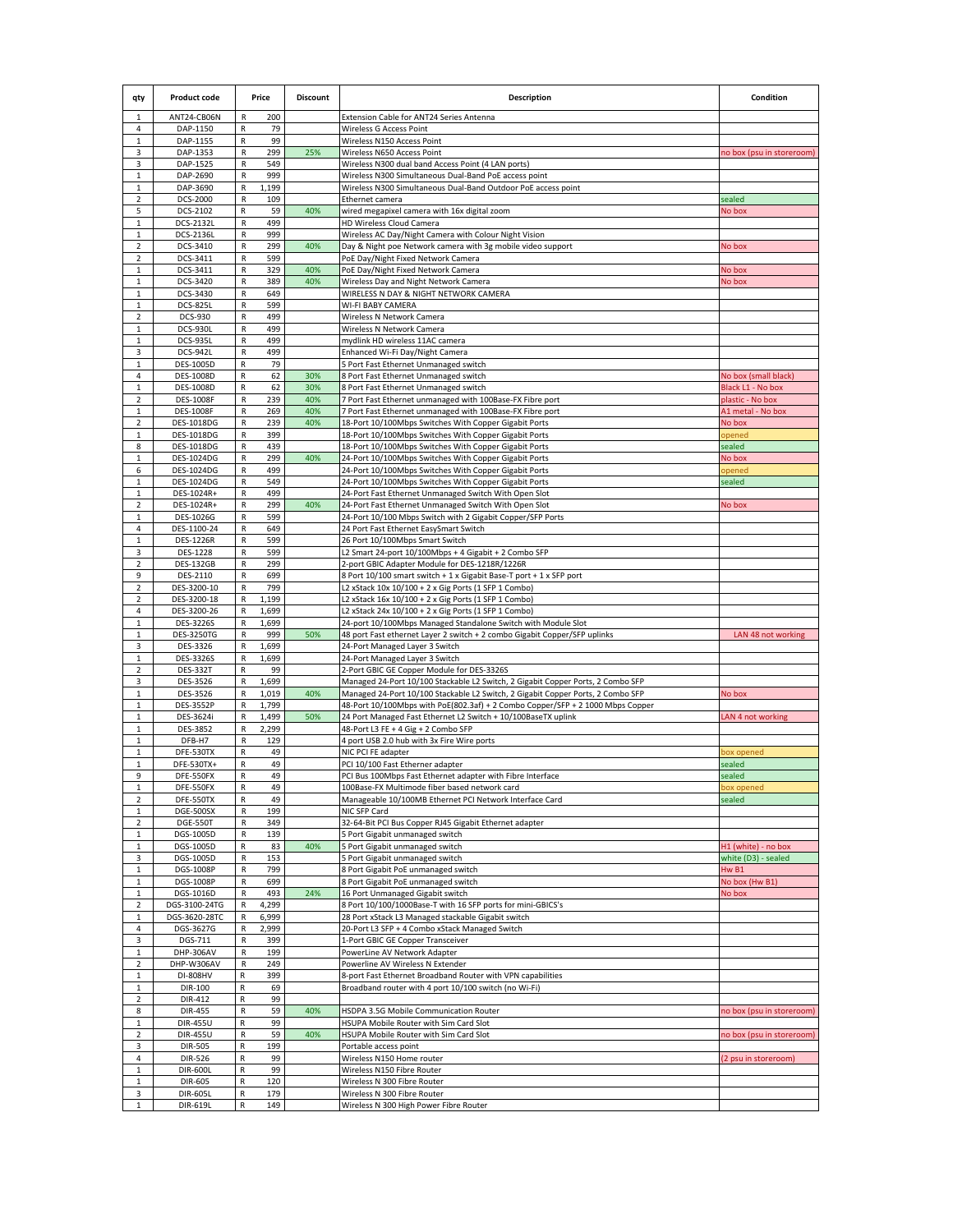| qty                            | <b>Product code</b>                    | Price                                    | <b>Discount</b> | Description                                                                                                            | Condition                                  |
|--------------------------------|----------------------------------------|------------------------------------------|-----------------|------------------------------------------------------------------------------------------------------------------------|--------------------------------------------|
| $\mathbf{1}$                   | ANT24-CB06N                            | R<br>200                                 |                 | Extension Cable for ANT24 Series Antenna                                                                               |                                            |
| 4                              | DAP-1150                               | R<br>79                                  |                 | Wireless G Access Point                                                                                                |                                            |
| $\,1\,$<br>3                   | DAP-1155<br>DAP-1353                   | R<br>99<br>R<br>299                      | 25%             | Wireless N150 Access Point                                                                                             |                                            |
| 3                              | DAP-1525                               | R<br>549                                 |                 | Wireless N650 Access Point<br>Wireless N300 dual band Access Point (4 LAN ports)                                       | no box (psu in storeroom)                  |
| $\mathbf{1}$                   | DAP-2690                               | R<br>999                                 |                 | Wireless N300 Simultaneous Dual-Band PoE access point                                                                  |                                            |
| 1                              | DAP-3690                               | R<br>1,199                               |                 | Wireless N300 Simultaneous Dual-Band Outdoor PoE access point                                                          |                                            |
| $\overline{2}$                 | <b>DCS-2000</b>                        | ${\sf R}$<br>109                         |                 | Ethernet camera                                                                                                        | sealed                                     |
| 5<br>$\mathbf{1}$              | DCS-2102<br><b>DCS-2132L</b>           | R<br>59<br>499<br>R                      | 40%             | wired megapixel camera with 16x digital zoom<br><b>HD Wireless Cloud Camera</b>                                        | No box                                     |
| $\mathbf{1}$                   | DCS-2136L                              | ${\sf R}$<br>999                         |                 | Wireless AC Day/Night Camera with Colour Night Vision                                                                  |                                            |
| $\overline{2}$                 | DCS-3410                               | ${\sf R}$<br>299                         | 40%             | Day & Night poe Network camera with 3g mobile video support                                                            | No box                                     |
| $\overline{2}$                 | DCS-3411                               | ${\sf R}$<br>599                         |                 | PoE Day/Night Fixed Network Camera                                                                                     |                                            |
| $\mathbf{1}$<br>$\mathbf{1}$   | DCS-3411<br>DCS-3420                   | R<br>329<br>R<br>389                     | 40%<br>40%      | PoE Day/Night Fixed Network Camera<br>Wireless Day and Night Network Camera                                            | No box<br>No box                           |
| $\mathbf{1}$                   | DCS-3430                               | ${\sf R}$<br>649                         |                 | WIRELESS N DAY & NIGHT NETWORK CAMERA                                                                                  |                                            |
| $\mathbf{1}$                   | <b>DCS-825L</b>                        | ${\sf R}$<br>599                         |                 | WI-FI BABY CAMERA                                                                                                      |                                            |
| $\overline{2}$                 | DCS-930                                | 499<br>R                                 |                 | Wireless N Network Camera                                                                                              |                                            |
| $\mathbf{1}$<br>$\mathbf{1}$   | <b>DCS-930L</b><br><b>DCS-935L</b>     | ${\sf R}$<br>499<br>${\sf R}$<br>499     |                 | Wireless N Network Camera<br>mydlink HD wireless 11AC camera                                                           |                                            |
| 3                              | <b>DCS-942L</b>                        | $\mathsf{R}$<br>499                      |                 | Enhanced Wi-Fi Day/Night Camera                                                                                        |                                            |
| $\mathbf{1}$                   | <b>DES-1005D</b>                       | $\mathsf{R}$<br>79                       |                 | 5 Port Fast Ethernet Unmanaged switch                                                                                  |                                            |
| 4                              | <b>DES-1008D</b>                       | ${\sf R}$<br>62                          | 30%             | 8 Port Fast Ethernet Unmanaged switch                                                                                  | No box (small black)                       |
| $\mathbf{1}$                   | <b>DES-1008D</b>                       | ${\sf R}$<br>62                          | 30%             | 8 Port Fast Ethernet Unmanaged switch                                                                                  | Black L1 - No box                          |
| $\mathbf 2$<br>$\mathbf 1$     | <b>DES-1008F</b><br><b>DES-1008F</b>   | R<br>239<br>R<br>269                     | 40%<br>40%      | 7 Port Fast Ethernet unmanaged with 100Base-FX Fibre port<br>7 Port Fast Ethernet unmanaged with 100Base-FX Fibre port | plastic - No box<br>A1 metal - No box      |
| $\overline{\mathbf{c}}$        | <b>DES-1018DG</b>                      | R<br>239                                 | 40%             | 18-Port 10/100Mbps Switches With Copper Gigabit Ports                                                                  | No box                                     |
| $\mathbf{1}$                   | <b>DES-1018DG</b>                      | R<br>399                                 |                 | 18-Port 10/100Mbps Switches With Copper Gigabit Ports                                                                  | opened                                     |
| 8                              | DES-1018DG                             | R<br>439                                 |                 | 18-Port 10/100Mbps Switches With Copper Gigabit Ports                                                                  | sealed                                     |
| 1                              | DES-1024DG                             | 299<br>R                                 | 40%             | 24-Port 10/100Mbps Switches With Copper Gigabit Ports                                                                  | No box                                     |
| 6<br>1                         | <b>DES-1024DG</b><br><b>DES-1024DG</b> | R<br>499<br>R<br>549                     |                 | 24-Port 10/100Mbps Switches With Copper Gigabit Ports<br>24-Port 10/100Mbps Switches With Copper Gigabit Ports         | pened<br>sealed                            |
| $\mathbf{1}$                   | DES-1024R+                             | 499<br>R                                 |                 | 24-Port Fast Ethernet Unmanaged Switch With Open Slot                                                                  |                                            |
| $\overline{2}$                 | DES-1024R+                             | R<br>299                                 | 40%             | 24-Port Fast Ethernet Unmanaged Switch With Open Slot                                                                  | No box                                     |
| $\mathbf{1}$                   | <b>DES-1026G</b>                       | ${\sf R}$<br>599                         |                 | 24-Port 10/100 Mbps Switch with 2 Gigabit Copper/SFP Ports                                                             |                                            |
| $\overline{4}$<br>$\mathbf{1}$ | DES-1100-24                            | R<br>649<br>599<br>R                     |                 | 24 Port Fast Ethernet EasySmart Switch                                                                                 |                                            |
| 3                              | <b>DES-1226R</b><br><b>DES-1228</b>    | R<br>599                                 |                 | 26 Port 10/100Mbps Smart Switch<br>L2 Smart 24-port 10/100Mbps + 4 Gigabit + 2 Combo SFP                               |                                            |
| $\overline{2}$                 | <b>DES-132GB</b>                       | R<br>299                                 |                 | 2-port GBIC Adapter Module for DES-1218R/1226R                                                                         |                                            |
| 9                              | DES-2110                               | ${\sf R}$<br>699                         |                 | 8 Port 10/100 smart switch + 1 x Gigabit Base-T port + 1 x SFP port                                                    |                                            |
| $\overline{2}$                 | DES-3200-10                            | 799<br>R                                 |                 | L2 xStack 10x 10/100 + 2 x Gig Ports (1 SFP 1 Combo)                                                                   |                                            |
| $\overline{2}$<br>4            | DES-3200-18<br>DES-3200-26             | R<br>1,199<br>R<br>1,699                 |                 | L2 xStack 16x 10/100 + 2 x Gig Ports (1 SFP 1 Combo)<br>L2 xStack 24x 10/100 + 2 x Gig Ports (1 SFP 1 Combo)           |                                            |
| $\mathbf{1}$                   | <b>DES-3226S</b>                       | R<br>1,699                               |                 | 24-port 10/100Mbps Managed Standalone Switch with Module Slot                                                          |                                            |
| $\mathbf 1$                    | <b>DES-3250TG</b>                      | 999<br>R                                 | 50%             | 48 port Fast ethernet Layer 2 switch + 2 combo Gigabit Copper/SFP uplinks                                              | LAN 48 not working                         |
| 3                              | DES-3326                               | $\mathsf{R}$<br>1,699                    |                 | 24-Port Managed Layer 3 Switch                                                                                         |                                            |
| $\mathbf{1}$<br>$\overline{2}$ | DES-3326S<br><b>DES-332T</b>           | $\mathsf{R}$<br>1,699<br>${\sf R}$<br>99 |                 | 24-Port Managed Layer 3 Switch<br>2-Port GBIC GE Copper Module for DES-3326S                                           |                                            |
| 3                              | DES-3526                               | 1,699<br>R                               |                 | Managed 24-Port 10/100 Stackable L2 Switch, 2 Gigabit Copper Ports, 2 Combo SFP                                        |                                            |
| $\mathbf 1$                    | DES-3526                               | ${\sf R}$<br>1,019                       | 40%             | Managed 24-Port 10/100 Stackable L2 Switch, 2 Gigabit Copper Ports, 2 Combo SFP                                        | No box                                     |
| $\,1\,$                        | <b>DES-3552P</b>                       | 1,799<br>R                               |                 | 48-Port 10/100Mbps with PoE(802.3af) + 2 Combo Copper/SFP + 2 1000 Mbps Copper                                         |                                            |
| $\mathbf 1$                    | DES-3624i                              | 1,499<br>R<br>2,299<br>R                 | 50%             | 24 Port Managed Fast Ethernet L2 Switch + 10/100BaseTX uplink                                                          | LAN 4 not working                          |
| 1<br>$\mathbf{1}$              | <b>DES-3852</b><br>DFB-H7              | R<br>129                                 |                 | 48-Port L3 FE + 4 Gig + 2 Combo SFP<br>4 port USB 2.0 hub with 3x Fire Wire ports                                      |                                            |
| 1                              | DFE-530TX                              | R<br>49                                  |                 | NIC PCI FE adapter                                                                                                     | ox opened                                  |
| $\mathbf{1}$                   | DFE-530TX+                             | R<br>49                                  |                 | PCI 10/100 Fast Etherner adapter                                                                                       | sealed                                     |
| 9                              | DFE-550FX                              | R<br>49                                  |                 | PCI Bus 100Mbps Fast Ethernet adapter with Fibre Interface                                                             | sealed                                     |
| 1<br>$\overline{2}$            | DFE-550FX<br>DFE-550TX                 | 49<br>R<br>R<br>49                       |                 | 100Base-FX Multimode fiber based network card<br>Manageable 10/100MB Ethernet PCI Network Interface Card               | box opened<br>sealed                       |
| $\mathbf{1}$                   | <b>DGE-500SX</b>                       | 199<br>R                                 |                 | NIC SFP Card                                                                                                           |                                            |
| $\overline{2}$                 | <b>DGE-550T</b>                        | R<br>349                                 |                 | 32-64-Bit PCI Bus Copper RJ45 Gigabit Ethernet adapter                                                                 |                                            |
| $\mathbf 1$                    | DGS-1005D                              | ${\sf R}$<br>139                         |                 | 5 Port Gigabit unmanaged switch                                                                                        |                                            |
| $\mathbf{1}$<br>3              | DGS-1005D<br>DGS-1005D                 | R<br>83<br>R<br>153                      | 40%             | 5 Port Gigabit unmanaged switch<br>5 Port Gigabit unmanaged switch                                                     | H1 (white) - no box<br>white (D3) - sealed |
| $\mathbf{1}$                   | DGS-1008P                              | ${\sf R}$<br>799                         |                 | 8 Port Gigabit PoE unmanaged switch                                                                                    | Hw B1                                      |
| $\mathbf{1}$                   | DGS-1008P                              | ${\sf R}$<br>699                         |                 | 8 Port Gigabit PoE unmanaged switch                                                                                    | No box (Hw B1)                             |
| $\mathbf{1}$                   | <b>DGS-1016D</b>                       | ${\sf R}$<br>493                         | 24%             | 16 Port Unmanaged Gigabit switch                                                                                       | No box                                     |
| $\overline{2}$                 | DGS-3100-24TG                          | 4,299<br>R                               |                 | 8 Port 10/100/1000Base-T with 16 SFP ports for mini-GBICS's<br>28 Port xStack L3 Managed stackable Gigabit switch      |                                            |
| $\mathbf{1}$<br>$\overline{4}$ | DGS-3620-28TC<br>DGS-3627G             | R<br>6,999<br>2,999<br>R                 |                 | 20-Port L3 SFP + 4 Combo xStack Managed Switch                                                                         |                                            |
| 3                              | DGS-711                                | ${\sf R}$<br>399                         |                 | 1-Port GBIC GE Copper Transceiver                                                                                      |                                            |
| 1                              | DHP-306AV                              | ${\sf R}$<br>199                         |                 | PowerLine AV Network Adapter                                                                                           |                                            |
| $\overline{2}$                 | DHP-W306AV                             | ${\sf R}$<br>249                         |                 | Powerline AV Wireless N Extender                                                                                       |                                            |
| $\mathbf 1$<br>$\mathbf 1$     | DI-808HV<br>DIR-100                    | R<br>399<br>${\sf R}$<br>69              |                 | 8-port Fast Ethernet Broadband Router with VPN capabilities<br>Broadband router with 4 port 10/100 switch (no Wi-Fi)   |                                            |
| $\overline{2}$                 | DIR-412                                | R<br>99                                  |                 |                                                                                                                        |                                            |
| 8                              | <b>DIR-455</b>                         | $\mathsf R$<br>59                        | 40%             | HSDPA 3.5G Mobile Communication Router                                                                                 | no box (psu in storeroom)                  |
| 1                              | <b>DIR-455U</b>                        | ${\sf R}$<br>99                          |                 | HSUPA Mobile Router with Sim Card Slot                                                                                 |                                            |
| $\overline{2}$<br>3            | <b>DIR-455U</b>                        | $\mathsf R$<br>59<br>${\sf R}$<br>199    | 40%             | HSUPA Mobile Router with Sim Card Slot                                                                                 | no box (psu in storeroom)                  |
| 4                              | DIR-505<br>DIR-526                     | ${\sf R}$<br>99                          |                 | Portable access point<br>Wireless N150 Home router                                                                     | (2 psu in storeroom)                       |
| $\mathbf{1}$                   | DIR-600L                               | ${\sf R}$<br>99                          |                 | Wireless N150 Fibre Router                                                                                             |                                            |
| $\mathbf{1}$                   | DIR-605                                | $\mathsf R$<br>120                       |                 | Wireless N 300 Fibre Router                                                                                            |                                            |
| 3                              | DIR-605L                               | ${\sf R}$<br>179                         |                 | Wireless N 300 Fibre Router                                                                                            |                                            |
| $\mathbf{1}$                   | DIR-619L                               | ${\sf R}$<br>149                         |                 | Wireless N 300 High Power Fibre Router                                                                                 |                                            |